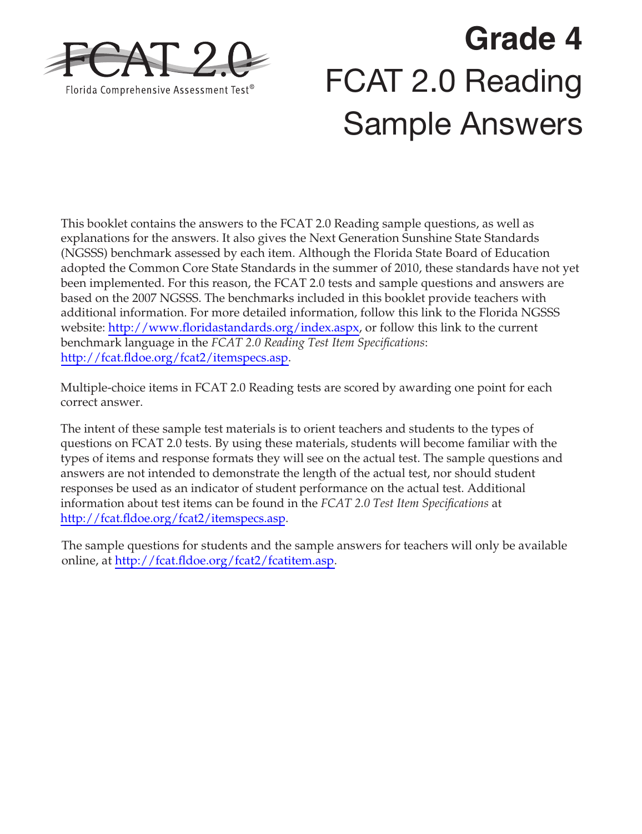

# **Grade 4**  FCAT 2.0 Reading Sample Answers

This booklet contains the answers to the FCAT 2.0 Reading sample questions, as well as explanations for the answers. It also gives the Next Generation Sunshine State Standards (NGSSS) benchmark assessed by each item. Although the Florida State Board of Education adopted the Common Core State Standards in the summer of 2010, these standards have not yet been implemented. For this reason, the FCAT 2.0 tests and sample questions and answers are based on the 2007 NGSSS. The benchmarks included in this booklet provide teachers with additional information. For more detailed information, follow this link to the Florida NGSSS website: [http://www.floridastandards.org/index.aspx,](http://www.floridastandards.org/index.aspx) or follow this link to the current benchmark language in the *FCAT 2.0 Reading Test Item Specifications*: [http://fcat.fldoe.org/fcat2/itemspecs.asp.](http://fcat.fldoe.org/fcat2/itemspecs.asp)

Multiple-choice items in FCAT 2.0 Reading tests are scored by awarding one point for each correct answer.

The intent of these sample test materials is to orient teachers and students to the types of questions on FCAT 2.0 tests. By using these materials, students will become familiar with the types of items and response formats they will see on the actual test. The sample questions and answers are not intended to demonstrate the length of the actual test, nor should student responses be used as an indicator of student performance on the actual test. Additional information about test items can be found in the *FCAT 2.0 Test Item Specifications* at <http://fcat.fldoe.org/fcat2/itemspecs.asp>.

The sample questions for students and the sample answers for teachers will only be available online, at [http://fcat.fldoe.org/fcat2/fcatitem.asp.](http://fcat.fldoe.org/fcat2/fcatitem.asp)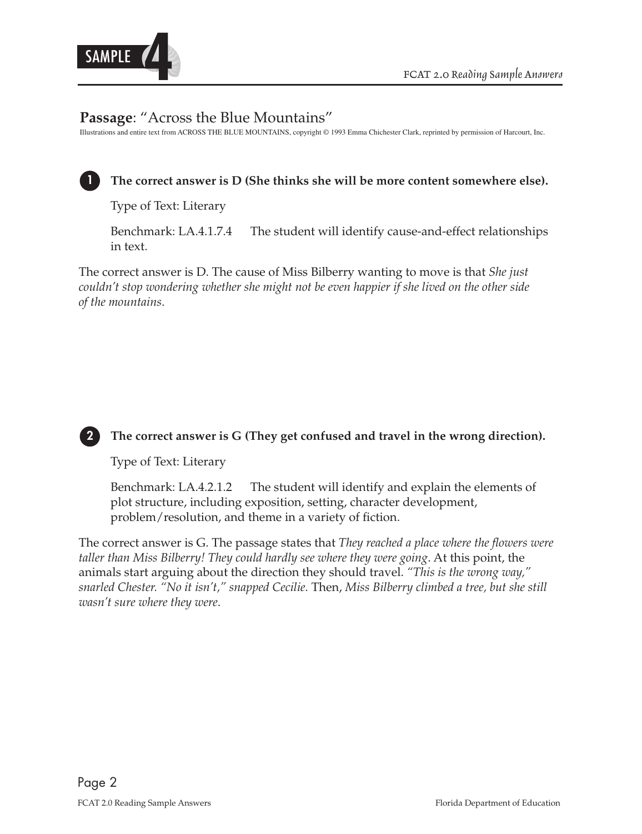

# **Passage**: "Across the Blue Mountains"

Illustrations and entire text from ACROSS THE BLUE MOUNTAINS, copyright © 1993 Emma Chichester Clark, reprinted by permission of Harcourt, Inc.

# **1 The correct answer is D (She thinks she will be more content somewhere else).**

Type of Text: Literary

Benchmark: LA.4.1.7.4 The student will identify cause-and-effect relationships in text.

The correct answer is D. The cause of Miss Bilberry wanting to move is that *She just couldn't stop wondering whether she might not be even happier if she lived on the other side of the mountains*.



#### **2 The correct answer is G (They get confused and travel in the wrong direction).**

Type of Text: Literary

Benchmark: LA.4.2.1.2 The student will identify and explain the elements of plot structure, including exposition, setting, character development, problem/resolution, and theme in a variety of fiction.

 *snarled Chester. "No it isn't," snapped Cecilie.* Then, *Miss Bilberry climbed a tree, but she still*  The correct answer is G. The passage states that *They reached a place where the flowers were taller than Miss Bilberry! They could hardly see where they were going*. At this point, the animals start arguing about the direction they should travel. *"This is the wrong way," wasn't sure where they were*.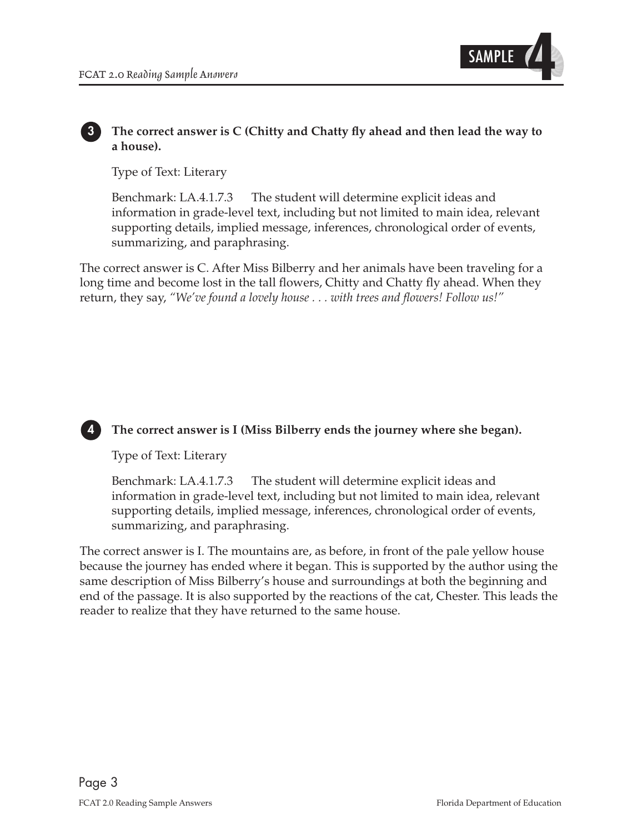

#### **3 The correct answer is C (Chitty and Chatty fly ahead and then lead the way to a house).**

Type of Text: Literary

Benchmark: LA.4.1.7.3 The student will determine explicit ideas and information in grade-level text, including but not limited to main idea, relevant supporting details, implied message, inferences, chronological order of events, summarizing, and paraphrasing.

 return, they say, *"We've found a lovely house . . . with trees and flowers! Follow us!"*  The correct answer is C. After Miss Bilberry and her animals have been traveling for a long time and become lost in the tall flowers, Chitty and Chatty fly ahead. When they

#### **4 The correct answer is I (Miss Bilberry ends the journey where she began).**

Type of Text: Literary

Benchmark: LA.4.1.7.3 The student will determine explicit ideas and information in grade-level text, including but not limited to main idea, relevant supporting details, implied message, inferences, chronological order of events, summarizing, and paraphrasing.

The correct answer is I. The mountains are, as before, in front of the pale yellow house because the journey has ended where it began. This is supported by the author using the same description of Miss Bilberry's house and surroundings at both the beginning and end of the passage. It is also supported by the reactions of the cat, Chester. This leads the reader to realize that they have returned to the same house.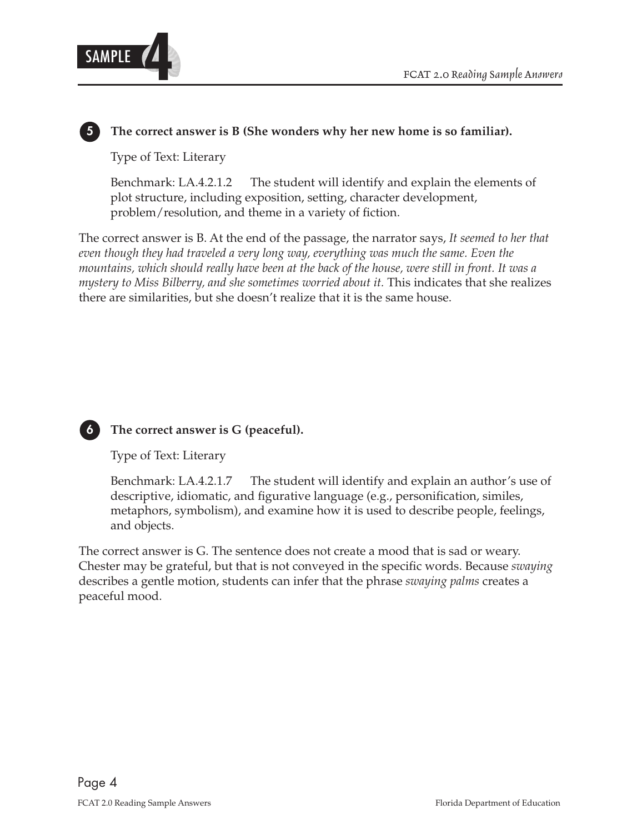

# **5 The correct answer is B (She wonders why her new home is so familiar).**

Type of Text: Literary

Benchmark: LA.4.2.1.2 The student will identify and explain the elements of plot structure, including exposition, setting, character development, problem/resolution, and theme in a variety of fiction.

 *mountains, which should really have been at the back of the house, were still in front. It was a* The correct answer is B. At the end of the passage, the narrator says, *It seemed to her that even though they had traveled a very long way, everything was much the same. Even the mystery to Miss Bilberry, and she sometimes worried about it.* This indicates that she realizes there are similarities, but she doesn't realize that it is the same house.



#### **6 The correct answer is G (peaceful).**

Type of Text: Literary

Benchmark: LA.4.2.1.7 The student will identify and explain an author's use of descriptive, idiomatic, and figurative language (e.g., personification, similes, metaphors, symbolism), and examine how it is used to describe people, feelings, and objects.

The correct answer is G. The sentence does not create a mood that is sad or weary. Chester may be grateful, but that is not conveyed in the specific words. Because *swaying* describes a gentle motion, students can infer that the phrase *swaying palms* creates a peaceful mood.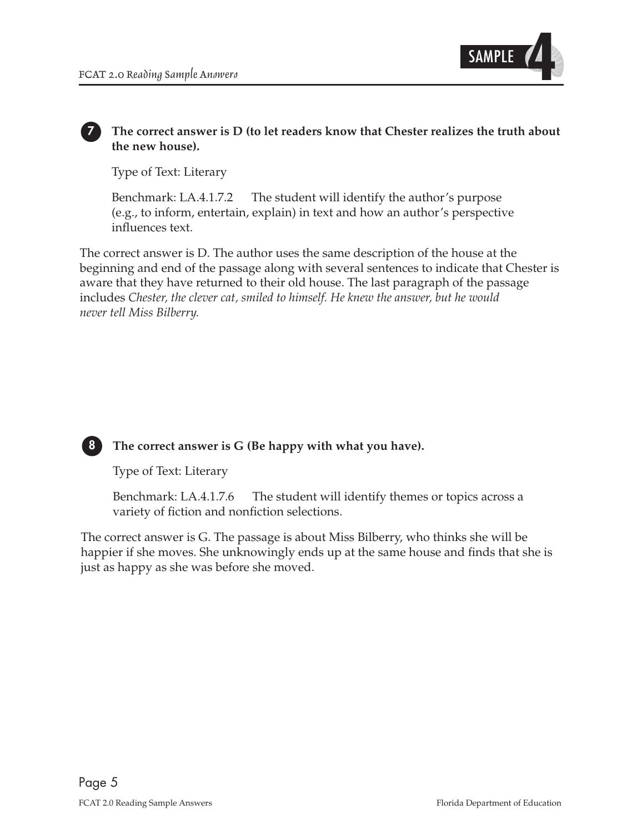

#### **7 The correct answer is D (to let readers know that Chester realizes the truth about the new house).**

Type of Text: Literary

Benchmark: LA.4.1.7.2 The student will identify the author's purpose (e.g., to inform, entertain, explain) in text and how an author's perspective influences text.

The correct answer is D. The author uses the same description of the house at the beginning and end of the passage along with several sentences to indicate that Chester is aware that they have returned to their old house. The last paragraph of the passage includes *Chester, the clever cat, smiled to himself. He knew the answer, but he would never tell Miss Bilberry.*



### **8 The correct answer is G (Be happy with what you have).**

Type of Text: Literary

Benchmark: LA.4.1.7.6 The student will identify themes or topics across a variety of fiction and nonfiction selections.

The correct answer is G. The passage is about Miss Bilberry, who thinks she will be happier if she moves. She unknowingly ends up at the same house and finds that she is just as happy as she was before she moved.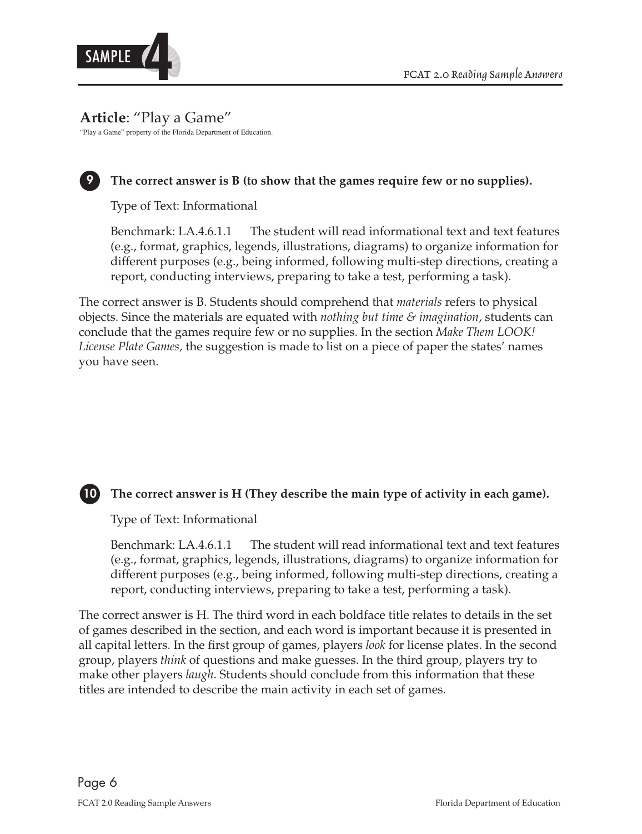

# **Article**: "Play a Game"

"Play a Game" property of the Florida Department of Education.



## **9 The correct answer is B (to show that the games require few or no supplies).**

Type of Text: Informational

Benchmark: LA.4.6.1.1 The student will read informational text and text features (e.g., format, graphics, legends, illustrations, diagrams) to organize information for different purposes (e.g., being informed, following multi-step directions, creating a report, conducting interviews, preparing to take a test, performing a task).

The correct answer is B. Students should comprehend that *materials* refers to physical objects. Since the materials are equated with *nothing but time & imagination*, students can conclude that the games require few or no supplies. In the section *Make Them LOOK! License Plate Games,* the suggestion is made to list on a piece of paper the states' names you have seen.



#### **10 The correct answer is H (They describe the main type of activity in each game).**

Type of Text: Informational

Benchmark: LA.4.6.1.1 The student will read informational text and text features (e.g., format, graphics, legends, illustrations, diagrams) to organize information for different purposes (e.g., being informed, following multi-step directions, creating a report, conducting interviews, preparing to take a test, performing a task).

The correct answer is H. The third word in each boldface title relates to details in the set of games described in the section, and each word is important because it is presented in all capital letters. In the first group of games, players *look* for license plates. In the second group, players *think* of questions and make guesses. In the third group, players try to make other players *laugh*. Students should conclude from this information that these titles are intended to describe the main activity in each set of games.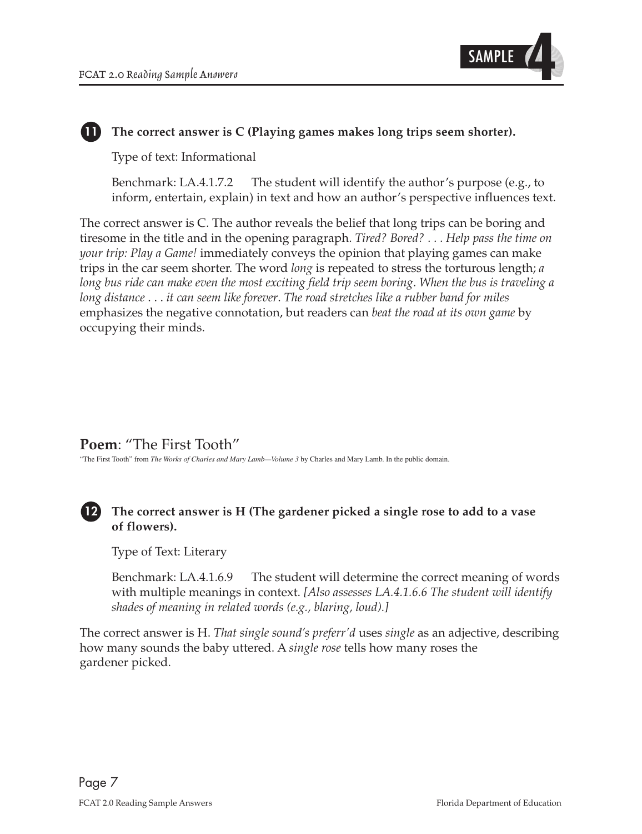

# **11 The correct answer is C (Playing games makes long trips seem shorter).**

Type of text: Informational

Benchmark: LA.4.1.7.2 The student will identify the author's purpose (e.g., to inform, entertain, explain) in text and how an author's perspective influences text.

 *long bus ride can make even the most exciting field trip seem boring*. *When the bus is traveling a* The correct answer is C. The author reveals the belief that long trips can be boring and tiresome in the title and in the opening paragraph. *Tired? Bored?* . . . *Help pass the time on your trip: Play a Game!* immediately conveys the opinion that playing games can make trips in the car seem shorter. The word *long* is repeated to stress the torturous length; *a long distance* . . . *it can seem like forever*. *The road stretches like a rubber band for miles* emphasizes the negative connotation, but readers can *beat the road at its own game* by occupying their minds.

# **Poem**: "The First Tooth"

"The First Tooth" from *The Works of Charles and Mary Lamb—Volume 3* by Charles and Mary Lamb. In the public domain.

# **12 The correct answer is H (The gardener picked a single rose to add to a vase of flowers).**

Type of Text: Literary

Benchmark: LA.4.1.6.9 The student will determine the correct meaning of words with multiple meanings in context. *[Also assesses LA.4.1.6.6 The student will identify shades of meaning in related words (e.g., blaring, loud).]* 

The correct answer is H. *That single sound's preferr'd* uses *single* as an adjective, describing how many sounds the baby uttered. A *single rose* tells how many roses the gardener picked.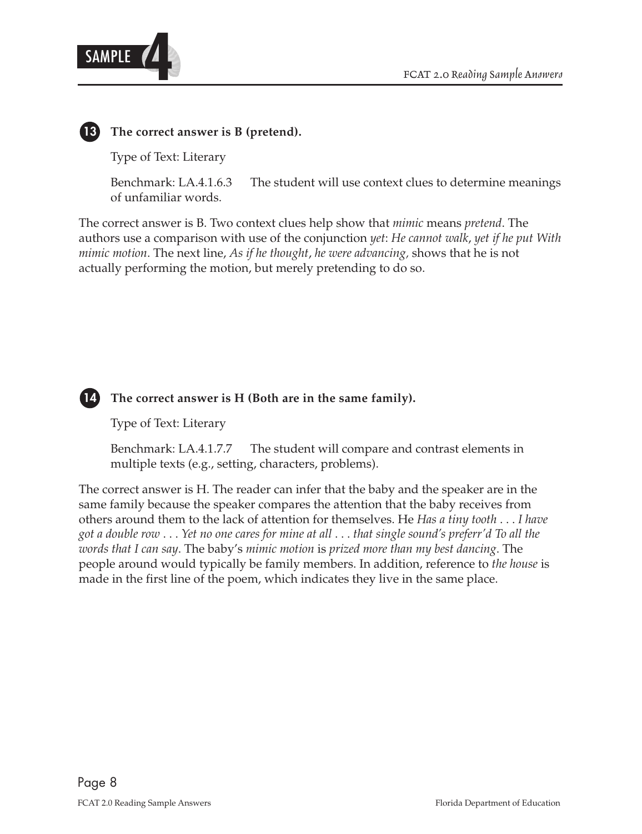



**13 The correct answer is B (pretend).** 

Type of Text: Literary

Benchmark: LA.4.1.6.3 The student will use context clues to determine meanings of unfamiliar words.

The correct answer is B. Two context clues help show that *mimic* means *pretend*. The authors use a comparison with use of the conjunction *yet*: *He cannot walk*, *yet if he put With mimic motion*. The next line, *As if he thought*, *he were advancing,* shows that he is not actually performing the motion, but merely pretending to do so.



 **14 The correct answer is H (Both are in the same family).** 

Type of Text: Literary

Benchmark: LA.4.1.7.7 The student will compare and contrast elements in multiple texts (e.g., setting, characters, problems).

 others around them to the lack of attention for themselves. He *Has a tiny tooth* . . . *I have got a double row* . . . *Yet no one cares for mine at all* . . . *that single sound's preferr'd To all the words that I can say*. The baby's *mimic motion* is *prized more than my best dancing*. The The correct answer is H. The reader can infer that the baby and the speaker are in the same family because the speaker compares the attention that the baby receives from people around would typically be family members. In addition, reference to *the house* is made in the first line of the poem, which indicates they live in the same place.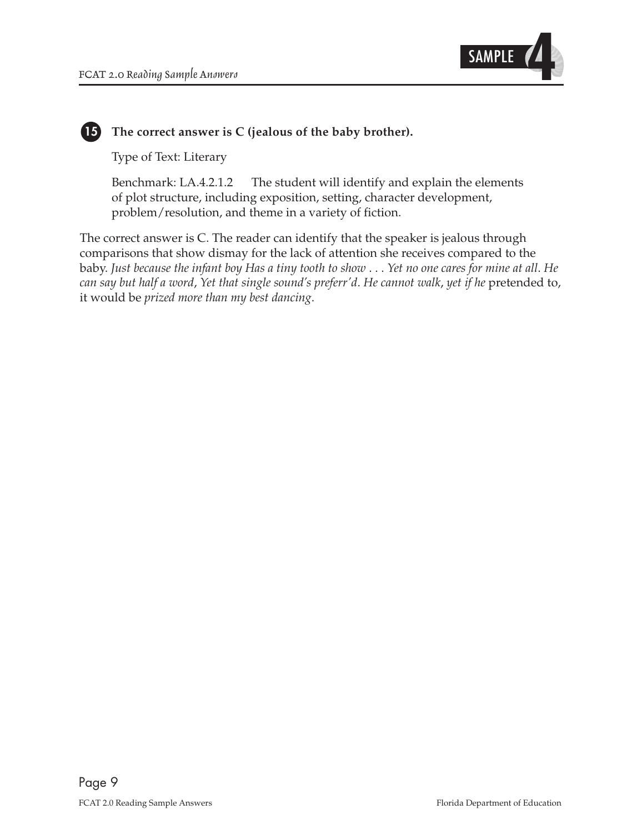

#### **15 The correct answer is C (jealous of the baby brother).**

Type of Text: Literary

Benchmark: LA.4.2.1.2 The student will identify and explain the elements of plot structure, including exposition, setting, character development, problem/resolution, and theme in a variety of fiction.

 baby. *Just because the infant boy Has a tiny tooth to show* . . . *Yet no one cares for mine at all*. *He can say but half a word*, *Yet that single sound's preferr'd*. *He cannot walk*, *yet if he* pretended to, The correct answer is C. The reader can identify that the speaker is jealous through comparisons that show dismay for the lack of attention she receives compared to the it would be *prized more than my best dancing*.